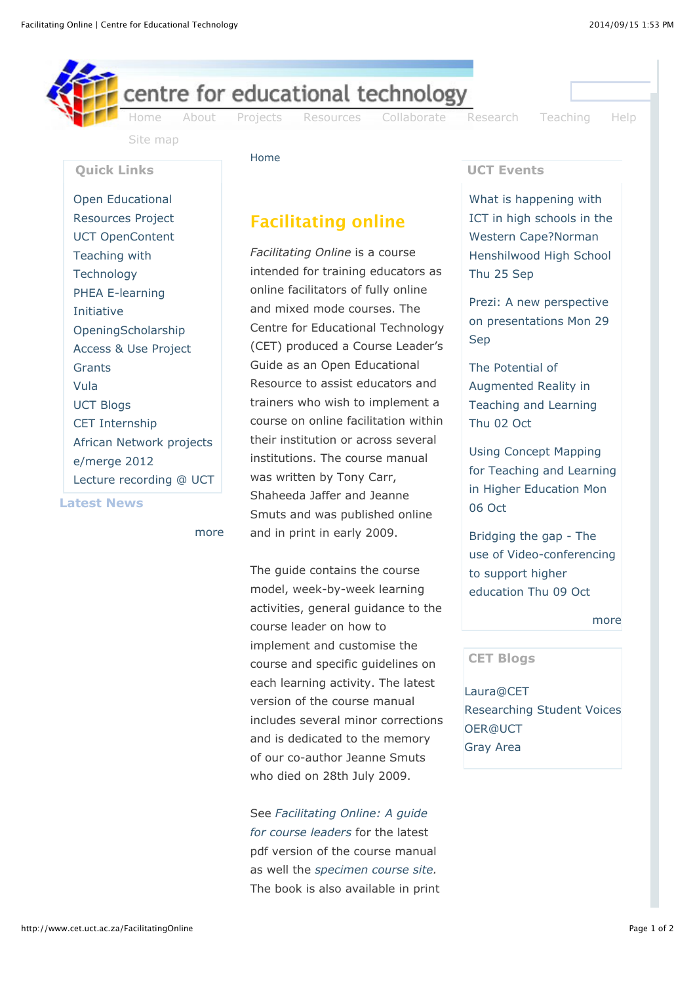**Quick Links**

Open Educational [Resources Project](http://www.cet.uct.ac.za/oer) [UCT OpenContent](http://opencontent.uct.ac.za/) [Teaching with](http://teaching.cet.uct.ac.za/) **Technology** 

[PHEA E-learning](http://www.cet.uct.ac.za/projects#PHEA)

[OpeningScholarship](http://www.cet.uct.ac.za/OpeningScholarship) [Access & Use Project](http://www.cet.uct.ac.za/virtualmobius)

[African Network projects](http://www.cet.uct.ac.za/network/)

[Lecture recording @ UCT](http://www.cet.uct.ac.za/recording)

[more](http://emergeafrica.newsblur.com/social/rss/148113/emergeafrica)

Initiative

**[Grants](http://www.cet.uct.ac.za/collaborate#grants)** [Vula](https://vula.uct.ac.za/portal/)

[UCT Blogs](http://www.blogs.uct.ac.za/) [CET Internship](http://www.cet.uct.ac.za/CetInternship)

[e/merge 2012](http://emerge2012.net/)

**Latest News**



[Site map](http://www.cet.uct.ac.za/SiteMap)

[Home](http://www.cet.uct.ac.za/)

Facilitating online

*Facilitating Online* is a course intended for training educators as online facilitators of fully online and mixed mode courses. The Centre for Educational Technology (CET) produced a Course Leader's Guide as an Open Educational Resource to assist educators and trainers who wish to implement a course on online facilitation within their institution or across several institutions. The course manual was written by Tony Carr, Shaheeda Jaffer and Jeanne Smuts and was published online and in print in early 2009.

The guide contains the course model, week-by-week learning activities, general guidance to the course leader on how to implement and customise the course and specific guidelines on each learning activity. The latest version of the course manual includes several minor corrections and is dedicated to the memory of our co-author Jeanne Smuts who died on 28th July 2009.

See *[Facilitating Online: A guide](http://www.cet.uct.ac.za/files/file/FacilitationOnlineWeb.pdf) for course leaders* for the latest pdf version of the course manual as well the *[specimen course site.](https://vula.uct.ac.za/portal/site/1d19c50c-0963-4b1d-bdc7-73ca46a72dd1)* The book is also available in print

## **UCT Events**

What is happening with [ICT in high schools in the](http://teaching.cet.uct.ac.za/events/view/661) Western Cape?Norman Henshilwood High School Thu 25 Sep

Prezi: A new perspective [on presentations Mon 29](http://teaching.cet.uct.ac.za/events/view/617) Sep

The Potential of Augmented Reality in [Teaching and Learning](http://teaching.cet.uct.ac.za/events/view/608) Thu 02 Oct

Using Concept Mapping [for Teaching and Learning](http://teaching.cet.uct.ac.za/events/view/622) in Higher Education Mon 06 Oct

Bridging the gap - The [use of Video-conferencing](http://teaching.cet.uct.ac.za/events/view/662) to support higher education Thu 09 Oct

[more](http://www.cet.uct.ac.za/aggregator/sources/2)

## **CET Blogs**

[Laura@CET](http://lauraczerniewicz.co.za/) [Researching Student Voices](http://blogs.uct.ac.za/blog/researching-students-voices) [OER@UCT](http://blogs.uct.ac.za/blog/oer-uct) [Gray Area](http://blogs.uct.ac.za/blog/gray-area)